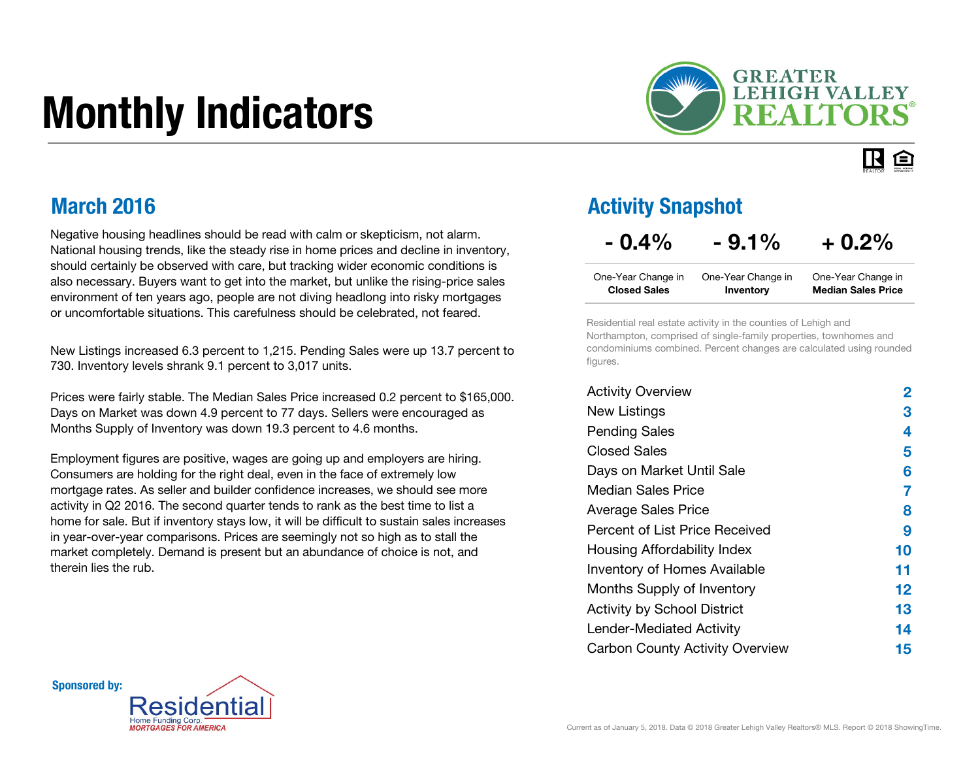# Monthly Indicators



#### IR. 臼

### March 2016

Negative housing headlines should be read with calm or skepticism, not alarm. National housing trends, like the steady rise in home prices and decline in inventory, should certainly be observed with care, but tracking wider economic conditions is also necessary. Buyers want to get into the market, but unlike the rising-price sales environment of ten years ago, people are not diving headlong into risky mortgages or uncomfortable situations. This carefulness should be celebrated, not feared.

New Listings increased 6.3 percent to 1,215. Pending Sales were up 13.7 percent to 730. Inventory levels shrank 9.1 percent to 3,017 units.

Prices were fairly stable. The Median Sales Price increased 0.2 percent to \$165,000. Days on Market was down 4.9 percent to 77 days. Sellers were encouraged as Months Supply of Inventory was down 19.3 percent to 4.6 months.

Employment figures are positive, wages are going up and employers are hiring. Consumers are holding for the right deal, even in the face of extremely low mortgage rates. As seller and builder confidence increases, we should see more activity in Q2 2016. The second quarter tends to rank as the best time to list a home for sale. But if inventory stays low, it will be difficult to sustain sales increases in year-over-year comparisons. Prices are seemingly not so high as to stall the market completely. Demand is present but an abundance of choice is not, and therein lies the rub.

### Activity Snapshot

### $- 0.4\% - 9.1\% + 0.2\%$

| One-Year Change in  | One-Year Change in | One-Year Change in        |
|---------------------|--------------------|---------------------------|
| <b>Closed Sales</b> | Inventory          | <b>Median Sales Price</b> |

Residential real estate activity in the counties of Lehigh and Northampton, comprised of single-family properties, townhomes and condominiums combined. Percent changes are calculated using rounded figures.

| <b>Activity Overview</b>               | 2       |
|----------------------------------------|---------|
| New Listings                           | З       |
| <b>Pending Sales</b>                   | 4       |
| <b>Closed Sales</b>                    | 5       |
| Days on Market Until Sale              | 6       |
| Median Sales Price                     | 7       |
| <b>Average Sales Price</b>             | 8       |
| Percent of List Price Received         | 9       |
| Housing Affordability Index            | 10      |
| <b>Inventory of Homes Available</b>    | 11      |
| Months Supply of Inventory             | $12 \,$ |
| <b>Activity by School District</b>     | 13      |
| <b>Lender-Mediated Activity</b>        | 14      |
| <b>Carbon County Activity Overview</b> | 15      |

Sponsored by:

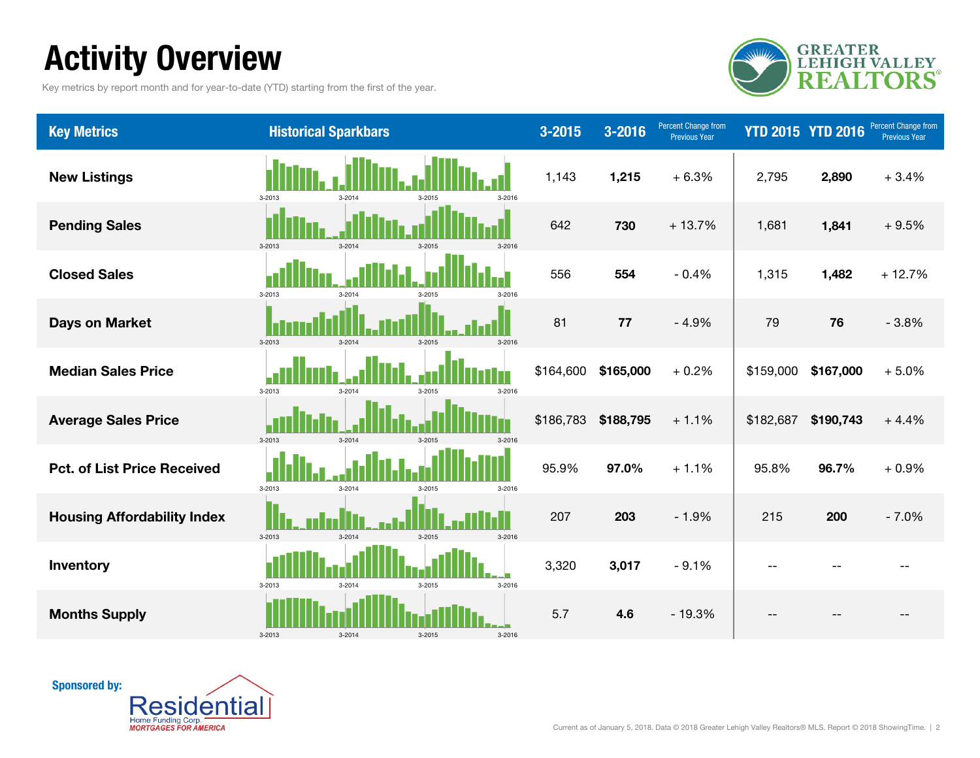# Activity Overview

Key metrics by report month and for year-to-date (YTD) starting from the first of the year.



| <b>Key Metrics</b>                 | <b>Historical Sparkbars</b>                          | $3 - 2015$ | 3-2016    | Percent Change from<br><b>Previous Year</b> | <b>YTD 2015 YTD 2016</b> |           | Percent Change from<br><b>Previous Year</b> |
|------------------------------------|------------------------------------------------------|------------|-----------|---------------------------------------------|--------------------------|-----------|---------------------------------------------|
| <b>New Listings</b>                | 3-2016<br>3-2013<br>$3 - 2014$<br>3-2015             | 1,143      | 1,215     | $+6.3%$                                     | 2,795                    | 2,890     | $+3.4%$                                     |
| <b>Pending Sales</b>               | $3 - 2013$<br>$3 - 2014$<br>$3 - 2015$<br>3-2016     | 642        | 730       | $+13.7%$                                    | 1,681                    | 1,841     | $+9.5%$                                     |
| <b>Closed Sales</b>                | $3 - 2013$<br>$3 - 2014$<br>3-2016                   | 556        | 554       | $-0.4%$                                     | 1,315                    | 1,482     | $+12.7%$                                    |
| <b>Days on Market</b>              | 3-2013<br>$3 - 2014$<br>$3 - 2015$<br>3-2016         | 81         | 77        | $-4.9%$                                     | 79                       | 76        | $-3.8%$                                     |
| <b>Median Sales Price</b>          | $3 - 2013$<br>$3 - 2014$<br>$3 - 2016$<br>$3 - 2015$ | \$164,600  | \$165,000 | $+0.2%$                                     | \$159,000                | \$167,000 | $+5.0%$                                     |
| <b>Average Sales Price</b>         | $3 - 2013$<br>$3 - 2014$<br>$3-2015$<br>$3 - 2016$   | \$186,783  | \$188,795 | $+1.1%$                                     | \$182,687                | \$190,743 | $+4.4%$                                     |
| <b>Pct. of List Price Received</b> | 3-2013<br>$3 - 2014$<br>3-2015<br>3-2016             | 95.9%      | 97.0%     | $+1.1%$                                     | 95.8%                    | 96.7%     | $+0.9%$                                     |
| <b>Housing Affordability Index</b> | $3 - 2013$<br>$3 - 2014$<br>$3 - 2015$<br>3-2016     | 207        | 203       | $-1.9%$                                     | 215                      | 200       | $-7.0%$                                     |
| Inventory                          | 3-2013<br>$3 - 2014$<br>3-2015<br>$3 - 2016$         | 3,320      | 3,017     | $-9.1%$                                     |                          |           |                                             |
| <b>Months Supply</b>               | $3-2013$<br>$3 - 2014$<br>3-2015<br>$3 - 2016$       | 5.7        | 4.6       | $-19.3%$                                    |                          |           |                                             |

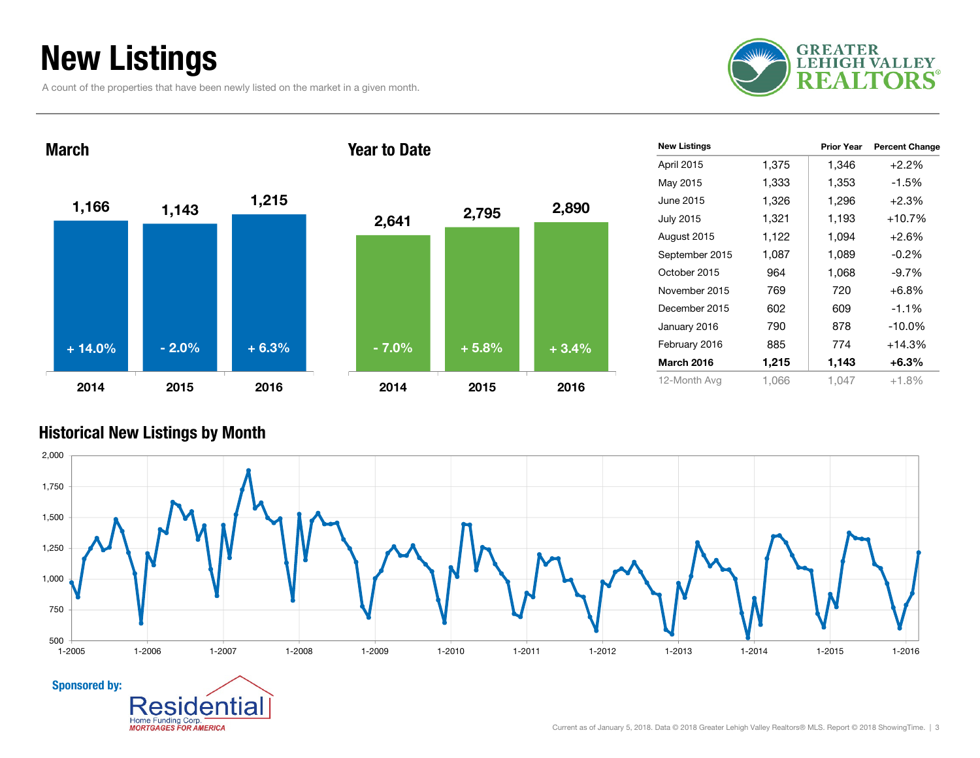## New Listings

A count of the properties that have been newly listed on the market in a given month.

entia

Home Funding Corp. **MORTGAGES FOR AMERICA** 





| <b>New Listings</b> |       | <b>Prior Year</b> | <b>Percent Change</b> |
|---------------------|-------|-------------------|-----------------------|
| April 2015          | 1,375 | 1,346             | $+2.2%$               |
| May 2015            | 1,333 | 1,353             | $-1.5%$               |
| June 2015           | 1,326 | 1,296             | $+2.3%$               |
| <b>July 2015</b>    | 1,321 | 1,193             | $+10.7%$              |
| August 2015         | 1,122 | 1,094             | $+2.6%$               |
| September 2015      | 1,087 | 1,089             | $-0.2\%$              |
| October 2015        | 964   | 1,068             | $-9.7\%$              |
| November 2015       | 769   | 720               | $+6.8%$               |
| December 2015       | 602   | 609               | $-1.1\%$              |
| January 2016        | 790   | 878               | $-10.0\%$             |
| February 2016       | 885   | 774               | $+14.3%$              |
| <b>March 2016</b>   | 1,215 | 1,143             | $+6.3\%$              |
| 12-Month Avg        | 1,066 | 1.047             | $+1.8%$               |

#### Historical New Listings by Month

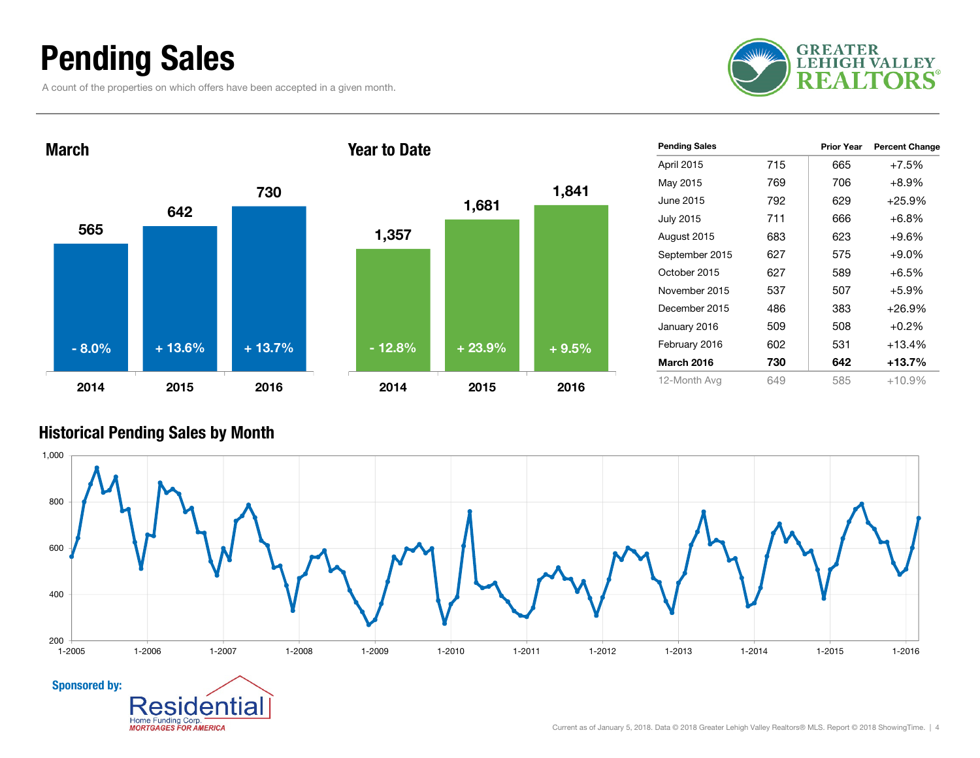### Pending Sales

A count of the properties on which offers have been accepted in a given month.





| <b>Pending Sales</b> |     | <b>Prior Year</b> | <b>Percent Change</b> |
|----------------------|-----|-------------------|-----------------------|
| April 2015           | 715 | 665               | $+7.5%$               |
| May 2015             | 769 | 706               | $+8.9%$               |
| June 2015            | 792 | 629               | $+25.9%$              |
| <b>July 2015</b>     | 711 | 666               | $+6.8%$               |
| August 2015          | 683 | 623               | $+9.6%$               |
| September 2015       | 627 | 575               | $+9.0\%$              |
| October 2015         | 627 | 589               | $+6.5%$               |
| November 2015        | 537 | 507               | $+5.9%$               |
| December 2015        | 486 | 383               | $+26.9%$              |
| January 2016         | 509 | 508               | $+0.2%$               |
| February 2016        | 602 | 531               | $+13.4%$              |
| <b>March 2016</b>    | 730 | 642               | $+13.7\%$             |
| 12-Month Avg         | 649 | 585               | $+10.9%$              |

#### Historical Pending Sales by Month

Home Funding Corp. **MORTGAGES FOR AMERICA** 

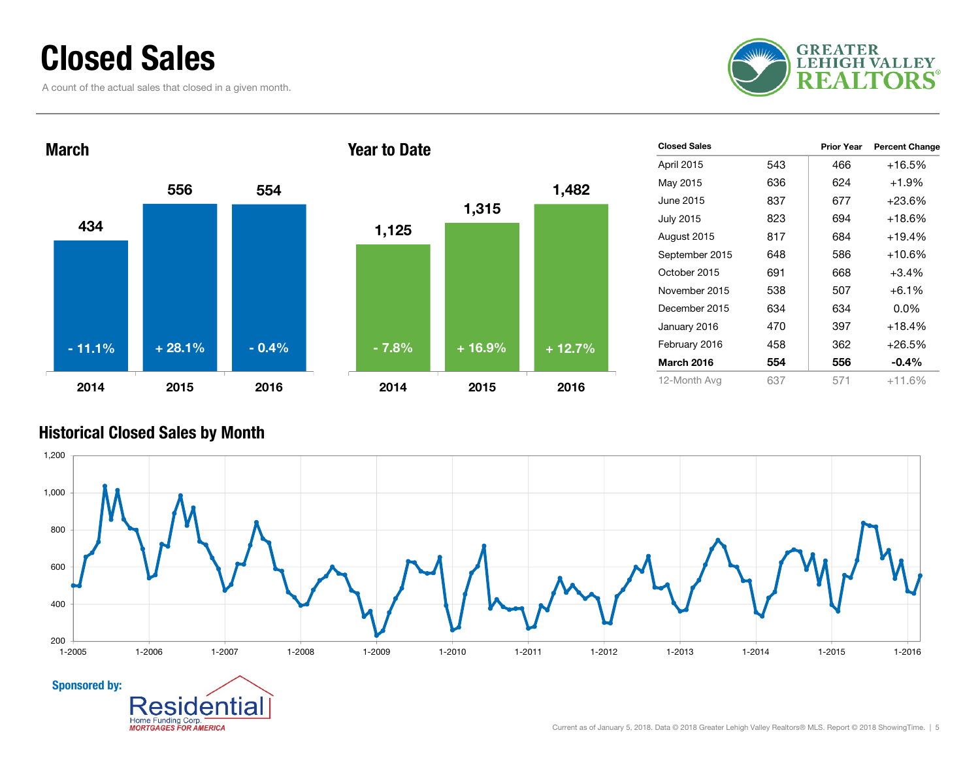### Closed Sales

A count of the actual sales that closed in a given month.





| <b>Closed Sales</b> |     | <b>Prior Year</b> | <b>Percent Change</b> |
|---------------------|-----|-------------------|-----------------------|
| April 2015          | 543 | 466               | $+16.5%$              |
| May 2015            | 636 | 624               | $+1.9%$               |
| June 2015           | 837 | 677               | $+23.6%$              |
| <b>July 2015</b>    | 823 | 694               | $+18.6%$              |
| August 2015         | 817 | 684               | $+19.4%$              |
| September 2015      | 648 | 586               | $+10.6%$              |
| October 2015        | 691 | 668               | $+3.4%$               |
| November 2015       | 538 | 507               | $+6.1%$               |
| December 2015       | 634 | 634               | $0.0\%$               |
| January 2016        | 470 | 397               | $+18.4%$              |
| February 2016       | 458 | 362               | $+26.5%$              |
| <b>March 2016</b>   | 554 | 556               | $-0.4\%$              |
| 12-Month Avg        | 637 | 571               | $+11.6%$              |

#### Historical Closed Sales by Month

Home Funding Corp.

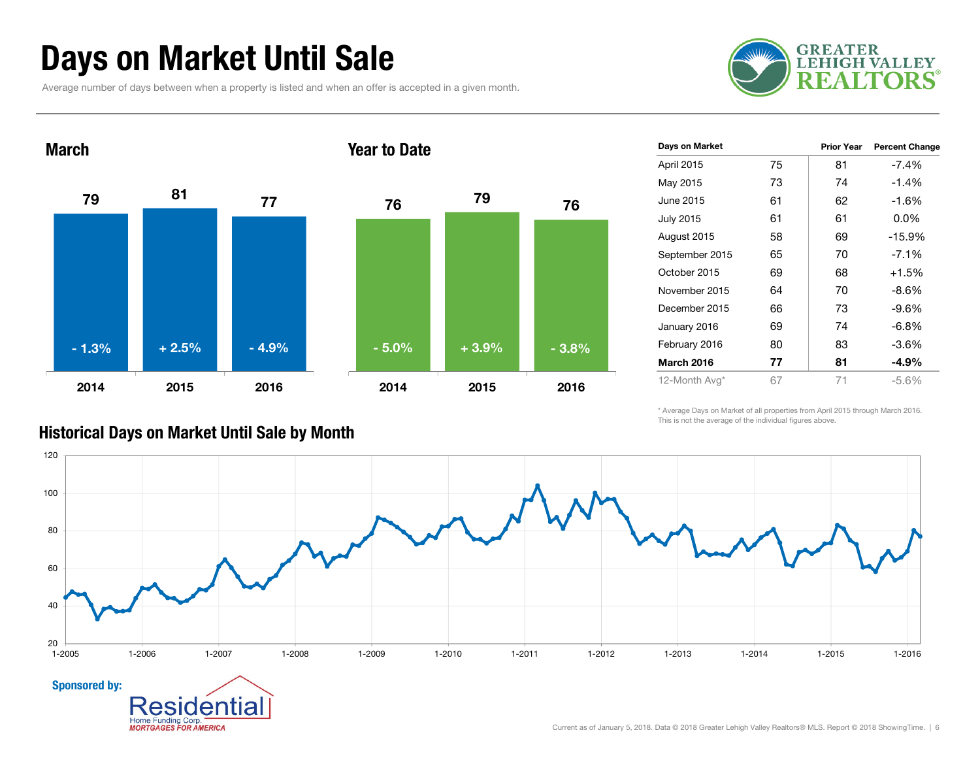### Days on Market Until Sale

Average number of days between when a property is listed and when an offer is accepted in a given month.





| Days on Market    |    | <b>Prior Year</b> | <b>Percent Change</b> |
|-------------------|----|-------------------|-----------------------|
| April 2015        | 75 | 81                | $-7.4%$               |
| May 2015          | 73 | 74                | $-1.4%$               |
| June 2015         | 61 | 62                | -1.6%                 |
| <b>July 2015</b>  | 61 | 61                | $0.0\%$               |
| August 2015       | 58 | 69                | $-15.9%$              |
| September 2015    | 65 | 70                | $-7.1%$               |
| October 2015      | 69 | 68                | $+1.5%$               |
| November 2015     | 64 | 70                | -8.6%                 |
| December 2015     | 66 | 73                | -9.6%                 |
| January 2016      | 69 | 74                | -6.8%                 |
| February 2016     | 80 | 83                | -3.6%                 |
| <b>March 2016</b> | 77 | 81                | $-4.9%$               |
| 12-Month Avg*     | 67 | 71                | $-5.6%$               |

\* Average Days on Market of all properties from April 2015 through March 2016. This is not the average of the individual figures above.



#### Historical Days on Market Until Sale by Month

**MORTGAGES FOR AMERICA**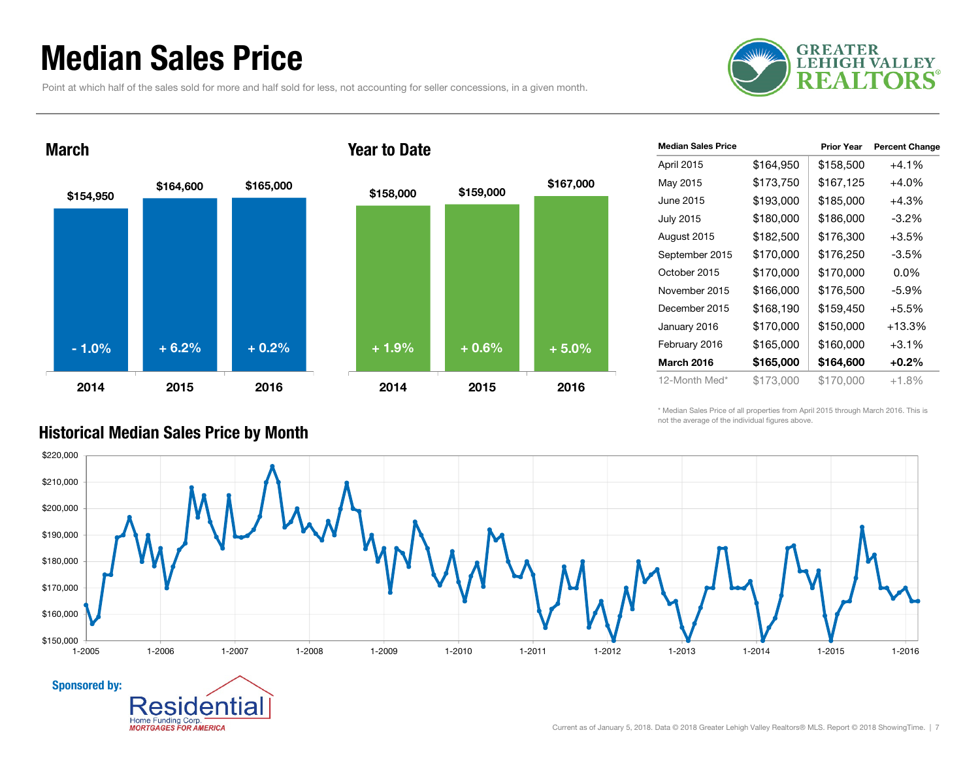### Median Sales Price

March

Point at which half of the sales sold for more and half sold for less, not accounting for seller concessions, in a given month.





tıa

#### Year to Date

| <b>Median Sales Price</b> |           | <b>Prior Year</b> | <b>Percent Change</b> |
|---------------------------|-----------|-------------------|-----------------------|
| April 2015                | \$164,950 | \$158,500         | $+4.1%$               |
| May 2015                  | \$173,750 | \$167,125         | $+4.0%$               |
| June 2015                 | \$193,000 | \$185,000         | $+4.3%$               |
| <b>July 2015</b>          | \$180,000 | \$186,000         | -3.2%                 |
| August 2015               | \$182,500 | \$176,300         | $+3.5%$               |
| September 2015            | \$170,000 | \$176,250         | $-3.5\%$              |
| October 2015              | \$170,000 | \$170,000         | $0.0\%$               |
| November 2015             | \$166,000 | \$176,500         | $-5.9\%$              |
| December 2015             | \$168,190 | \$159,450         | $+5.5%$               |
| January 2016              | \$170,000 | \$150,000         | $+13.3%$              |
| February 2016             | \$165,000 | \$160,000         | $+3.1%$               |
| <b>March 2016</b>         | \$165,000 | \$164,600         | $+0.2\%$              |
| 12-Month Med*             | \$173,000 | \$170,000         | $+1.8%$               |

\* Median Sales Price of all properties from April 2015 through March 2016. This is not the average of the individual figures above.



#### Historical Median Sales Price by Month

Home Funding Corp. **MORTGAGES FOR AMERICA** 

Sponsored by: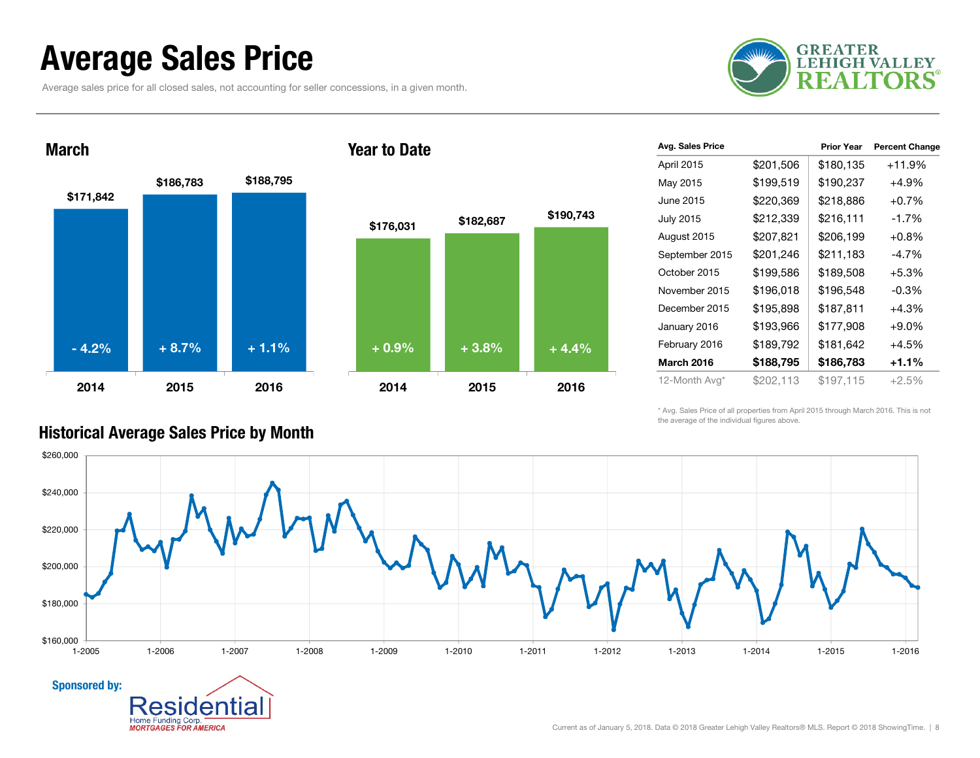### Average Sales Price

Average sales price for all closed sales, not accounting for seller concessions, in a given month.





| Avg. Sales Price  |           | <b>Prior Year</b> | <b>Percent Change</b> |
|-------------------|-----------|-------------------|-----------------------|
| April 2015        | \$201,506 | \$180,135         | $+11.9%$              |
| May 2015          | \$199,519 | \$190,237         | +4.9%                 |
| June 2015         | \$220,369 | \$218,886         | $+0.7%$               |
| <b>July 2015</b>  | \$212,339 | \$216,111         | $-1.7%$               |
| August 2015       | \$207,821 | \$206,199         | $+0.8%$               |
| September 2015    | \$201,246 | \$211,183         | $-4.7\%$              |
| October 2015      | \$199,586 | \$189,508         | $+5.3%$               |
| November 2015     | \$196,018 | \$196,548         | $-0.3%$               |
| December 2015     | \$195,898 | \$187,811         | +4.3%                 |
| January 2016      | \$193,966 | \$177,908         | $+9.0%$               |
| February 2016     | \$189,792 | \$181,642         | $+4.5%$               |
| <b>March 2016</b> | \$188,795 | \$186,783         | $+1.1%$               |
| 12-Month Avg*     | \$202,113 | \$197,115         | $+2.5%$               |

\* Avg. Sales Price of all properties from April 2015 through March 2016. This is not the average of the individual figures above.



#### Historical Average Sales Price by Month

A۱

Home Funding Corp. **MORTGAGES FOR AMERICA**  ıа

Current as of January 5, 2018. Data © 2018 Greater Lehigh Valley Realtors® MLS. Report © 2018 ShowingTime. | 8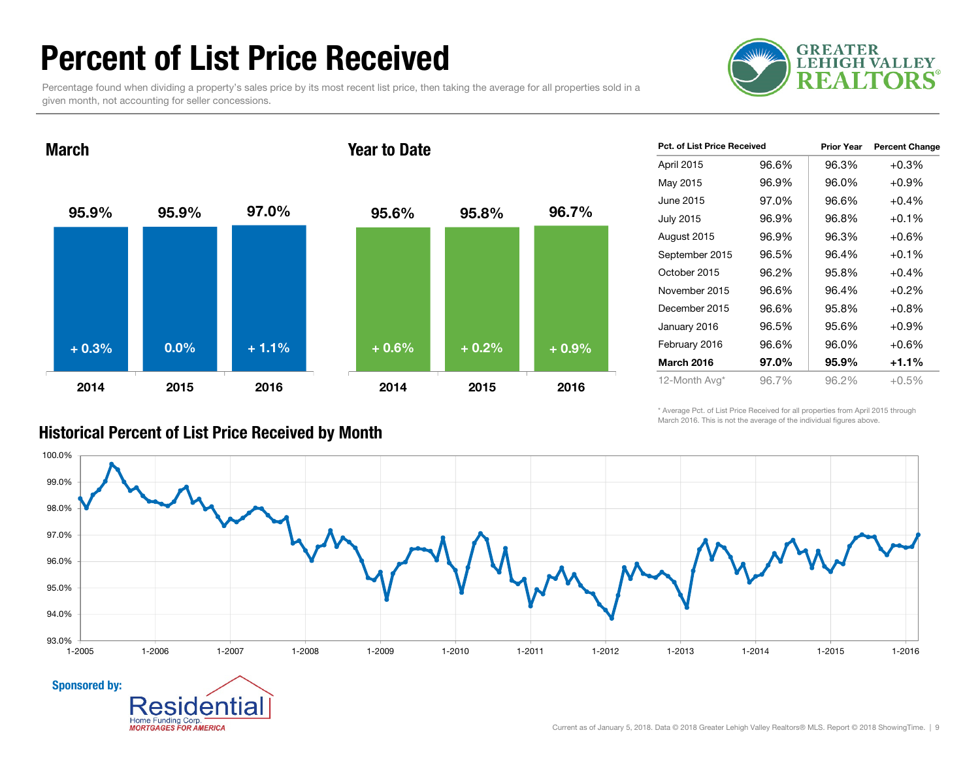### Percent of List Price Received

Percentage found when dividing a property's sales price by its most recent list price, then taking the average for all properties sold in a given month, not accounting for seller concessions.



95.9% 95.9% 97.0% 2014 2015 2016March95.6% 95.8% 96.7% 2014 2015 2016+ 0.3% $\%$  0.0% + 1.1% + 0.6% + 0.2% + 0.9%

| Pct. of List Price Received |       | <b>Prior Year</b> | <b>Percent Change</b> |
|-----------------------------|-------|-------------------|-----------------------|
| April 2015                  | 96.6% | 96.3%             | $+0.3%$               |
| May 2015                    | 96.9% | 96.0%             | $+0.9%$               |
| June 2015                   | 97.0% | 96.6%             | $+0.4%$               |
| July 2015                   | 96.9% | 96.8%             | $+0.1%$               |
| August 2015                 | 96.9% | 96.3%             | $+0.6%$               |
| September 2015              | 96.5% | 96.4%             | $+0.1%$               |
| October 2015                | 96.2% | 95.8%             | $+0.4%$               |
| November 2015               | 96.6% | 96.4%             | $+0.2%$               |
| December 2015               | 96.6% | 95.8%             | $+0.8%$               |
| January 2016                | 96.5% | 95.6%             | $+0.9%$               |
| February 2016               | 96.6% | 96.0%             | $+0.6%$               |
| March 2016                  | 97.0% | 95.9%             | $+1.1%$               |
| 12-Month Avg*               | 96.7% | 96.2%             | $+0.5%$               |

\* Average Pct. of List Price Received for all properties from April 2015 through March 2016. This is not the average of the individual figures above.



**Home Funding Corp MORTGAGES FOR AMERICA** 

#### Year to Date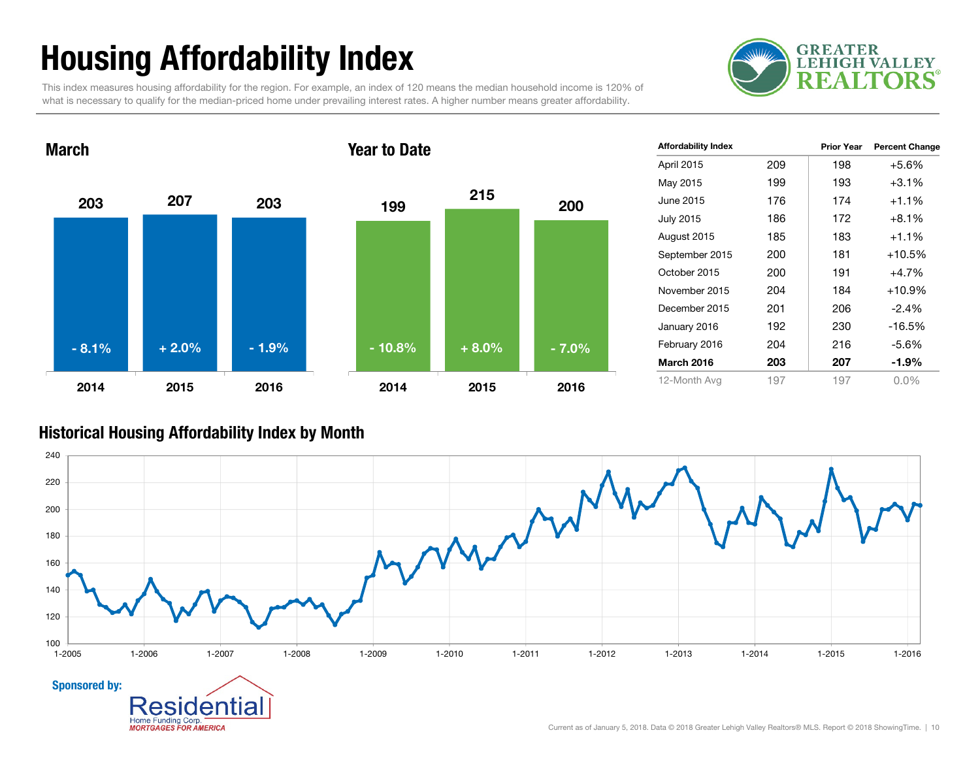# Housing Affordability Index

**GREATER LEHIGH VALLEY** 5

This index measures housing affordability for the region. For example, an index of 120 means the median household income is 120% of what is necessary to qualify for the median-priced home under prevailing interest rates. A higher number means greater affordability.



| <b>Affordability Index</b> |     | <b>Prior Year</b> | <b>Percent Change</b> |
|----------------------------|-----|-------------------|-----------------------|
| April 2015                 | 209 | 198               | $+5.6%$               |
| May 2015                   | 199 | 193               | $+3.1%$               |
| June 2015                  | 176 | 174               | $+1.1%$               |
| <b>July 2015</b>           | 186 | 172               | $+8.1%$               |
| August 2015                | 185 | 183               | $+1.1%$               |
| September 2015             | 200 | 181               | $+10.5%$              |
| October 2015               | 200 | 191               | $+4.7%$               |
| November 2015              | 204 | 184               | $+10.9%$              |
| December 2015              | 201 | 206               | $-2.4%$               |
| January 2016               | 192 | 230               | $-16.5%$              |
| February 2016              | 204 | 216               | $-5.6%$               |
| <b>March 2016</b>          | 203 | 207               | -1.9%                 |
| 12-Month Avg               | 197 | 197               | $0.0\%$               |

#### Historical Housing Affordability Index by Mont h

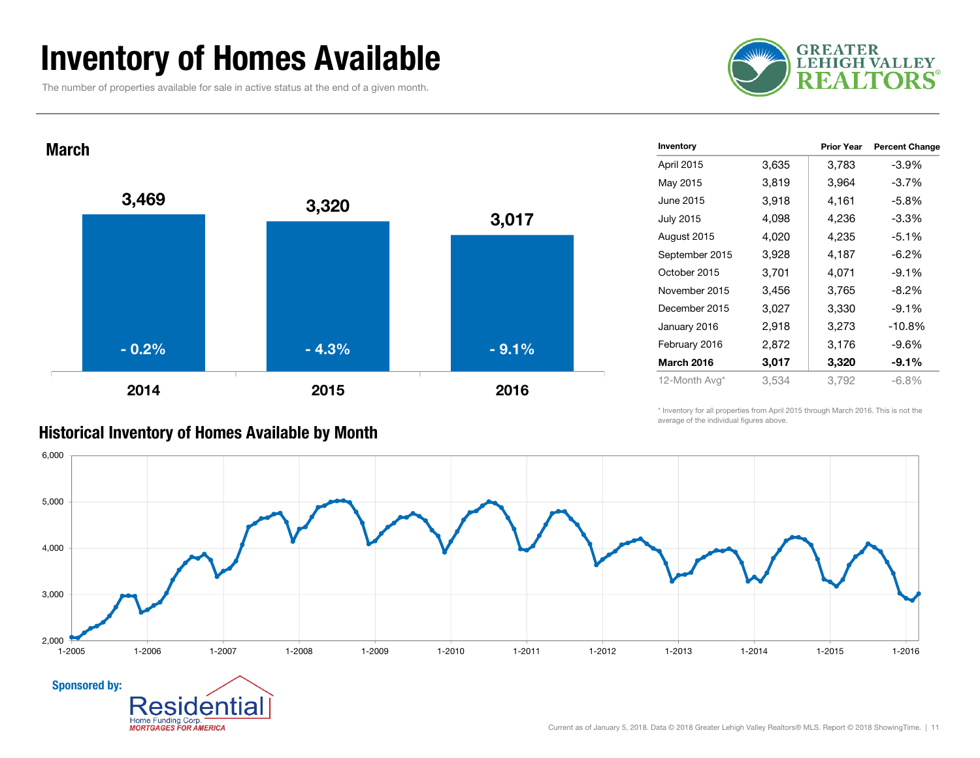### Inventory of Homes Available

The number of properties available for sale in active status at the end of a given month.





| Inventory         |       | <b>Prior Year</b> | <b>Percent Change</b> |
|-------------------|-------|-------------------|-----------------------|
| April 2015        | 3,635 | 3,783             | -3.9%                 |
| May 2015          | 3,819 | 3,964             | $-3.7%$               |
| June 2015         | 3,918 | 4,161             | -5.8%                 |
| <b>July 2015</b>  | 4,098 | 4,236             | -3.3%                 |
| August 2015       | 4,020 | 4,235             | $-5.1%$               |
| September 2015    | 3,928 | 4,187             | -6.2%                 |
| October 2015      | 3,701 | 4,071             | $-9.1\%$              |
| November 2015     | 3,456 | 3,765             | -8.2%                 |
| December 2015     | 3,027 | 3,330             | $-9.1%$               |
| January 2016      | 2,918 | 3,273             | $-10.8%$              |
| February 2016     | 2,872 | 3,176             | -9.6%                 |
| <b>March 2016</b> | 3,017 | 3,320             | $-9.1%$               |
| 12-Month Avg*     | 3,534 | 3,792             | $-6.8%$               |

\* Inventory for all properties from April 2015 through March 2016. This is not the average of the individual figures above.



#### Historical Inventory of Homes Available by Month

Home Funding Corp. **MORTGAGES FOR AMERICA**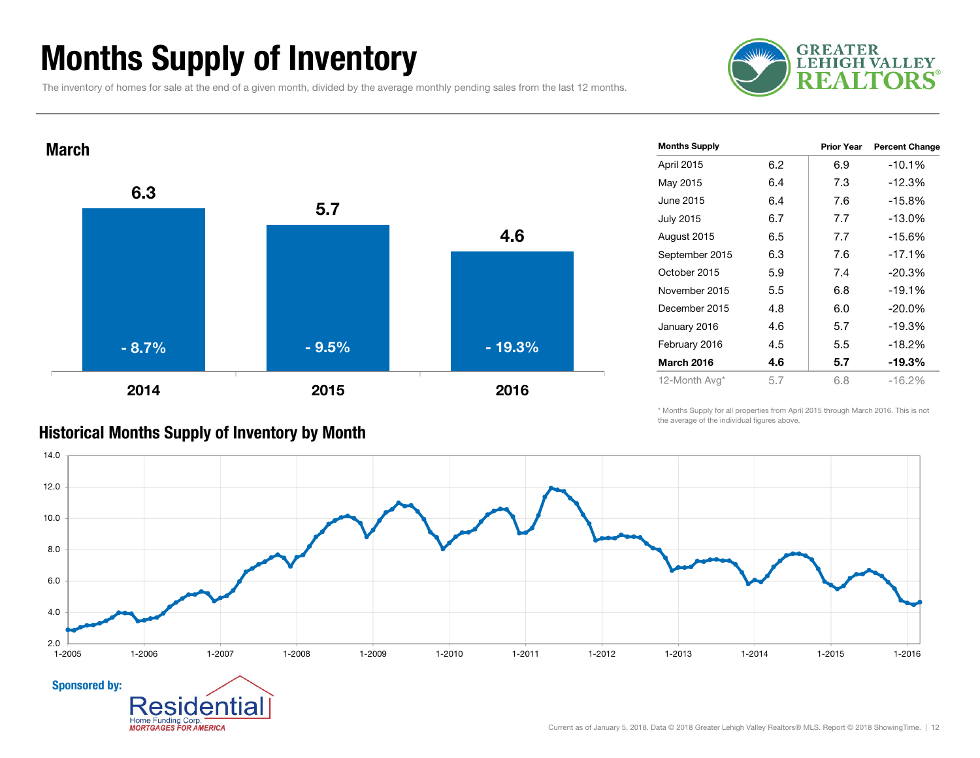### Months Supply of Inventory

The inventory of homes for sale at the end of a given month, divided by the average monthly pending sales from the last 12 months.





|     |     | <b>Percent Change</b> |
|-----|-----|-----------------------|
| 6.2 | 6.9 | $-10.1%$              |
| 6.4 | 7.3 | $-12.3%$              |
| 6.4 | 7.6 | $-15.8%$              |
| 6.7 | 7.7 | $-13.0%$              |
| 6.5 | 7.7 | $-15.6%$              |
| 6.3 | 7.6 | $-17.1%$              |
| 5.9 | 7.4 | $-20.3%$              |
| 5.5 | 6.8 | $-19.1%$              |
| 4.8 | 6.0 | $-20.0\%$             |
| 4.6 | 5.7 | $-19.3%$              |
| 4.5 | 5.5 | $-18.2%$              |
| 4.6 | 5.7 | $-19.3%$              |
| 5.7 | 6.8 | $-16.2%$              |
|     |     | <b>Prior Year</b>     |

\* Months Supply for all properties from April 2015 through March 2016. This is not the average of the individual figures above.



#### Historical Months Supply of Inventory by Month

**MORTGAGES FOR AMERICA**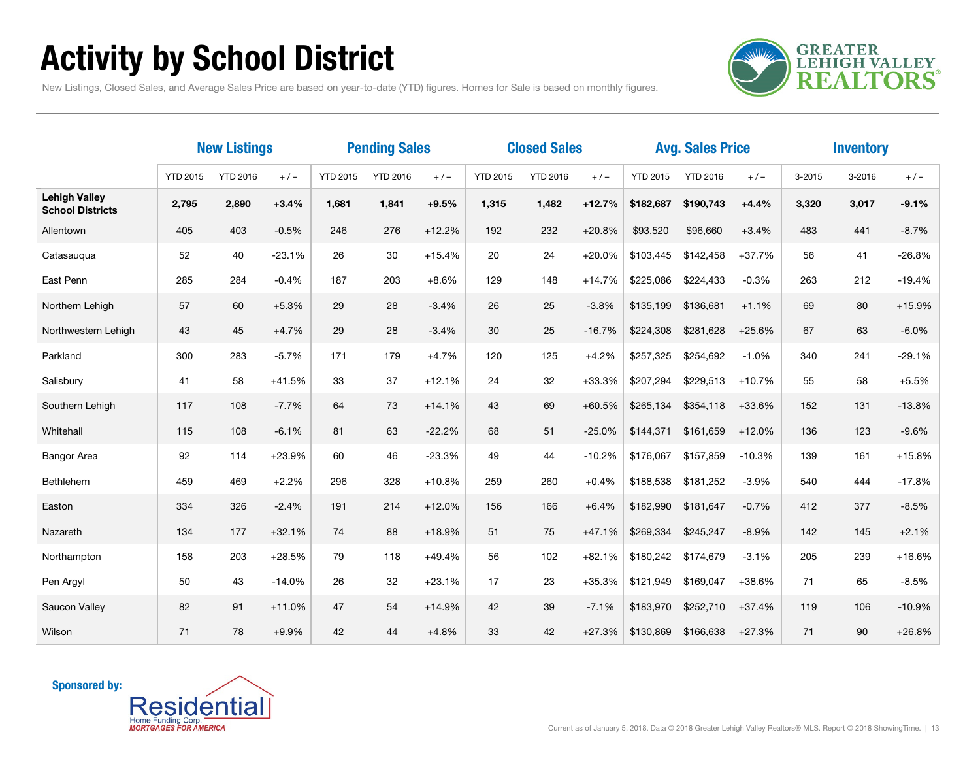# Activity by School District

**GREATER<br>LEHIGH VALLEY REALTORS** 

New Listings, Closed Sales, and Average Sales Price are based on year-to-date (YTD) figures. Homes for Sale is based on monthly figures.

|                                                 | <b>New Listings</b> |                 | <b>Pending Sales</b> |                 |                 | <b>Closed Sales</b> |                 |                 |          | <b>Avg. Sales Price</b> |                 | <b>Inventory</b> |        |            |          |
|-------------------------------------------------|---------------------|-----------------|----------------------|-----------------|-----------------|---------------------|-----------------|-----------------|----------|-------------------------|-----------------|------------------|--------|------------|----------|
|                                                 | <b>YTD 2015</b>     | <b>YTD 2016</b> | $+/-$                | <b>YTD 2015</b> | <b>YTD 2016</b> | $+/-$               | <b>YTD 2015</b> | <b>YTD 2016</b> | $+/-$    | <b>YTD 2015</b>         | <b>YTD 2016</b> | $+/-$            | 3-2015 | $3 - 2016$ | $+/-$    |
| <b>Lehigh Valley</b><br><b>School Districts</b> | 2,795               | 2,890           | $+3.4%$              | 1,681           | 1,841           | $+9.5%$             | 1,315           | 1,482           | $+12.7%$ | \$182,687               | \$190,743       | $+4.4%$          | 3,320  | 3,017      | $-9.1%$  |
| Allentown                                       | 405                 | 403             | $-0.5%$              | 246             | 276             | $+12.2%$            | 192             | 232             | $+20.8%$ | \$93,520                | \$96,660        | $+3.4%$          | 483    | 441        | $-8.7%$  |
| Catasaugua                                      | 52                  | 40              | $-23.1%$             | 26              | 30              | $+15.4%$            | 20              | 24              | $+20.0%$ | \$103,445               | \$142,458       | $+37.7%$         | 56     | 41         | $-26.8%$ |
| East Penn                                       | 285                 | 284             | $-0.4%$              | 187             | 203             | $+8.6%$             | 129             | 148             | $+14.7%$ | \$225,086               | \$224,433       | $-0.3%$          | 263    | 212        | $-19.4%$ |
| Northern Lehigh                                 | 57                  | 60              | $+5.3%$              | 29              | 28              | $-3.4%$             | 26              | 25              | $-3.8%$  | \$135,199               | \$136,681       | $+1.1%$          | 69     | 80         | $+15.9%$ |
| Northwestern Lehigh                             | 43                  | 45              | $+4.7%$              | 29              | 28              | $-3.4%$             | 30              | 25              | $-16.7%$ | \$224,308               | \$281,628       | $+25.6%$         | 67     | 63         | $-6.0%$  |
| Parkland                                        | 300                 | 283             | $-5.7%$              | 171             | 179             | $+4.7%$             | 120             | 125             | $+4.2%$  | \$257,325               | \$254,692       | $-1.0%$          | 340    | 241        | $-29.1%$ |
| Salisbury                                       | 41                  | 58              | $+41.5%$             | 33              | 37              | $+12.1%$            | 24              | 32              | $+33.3%$ | \$207,294               | \$229,513       | $+10.7%$         | 55     | 58         | $+5.5%$  |
| Southern Lehigh                                 | 117                 | 108             | $-7.7%$              | 64              | 73              | $+14.1%$            | 43              | 69              | $+60.5%$ | \$265,134               | \$354,118       | $+33.6%$         | 152    | 131        | $-13.8%$ |
| Whitehall                                       | 115                 | 108             | $-6.1%$              | 81              | 63              | $-22.2%$            | 68              | 51              | $-25.0%$ | \$144,371               | \$161,659       | $+12.0%$         | 136    | 123        | $-9.6%$  |
| <b>Bangor Area</b>                              | 92                  | 114             | $+23.9%$             | 60              | 46              | $-23.3%$            | 49              | 44              | $-10.2%$ | \$176,067               | \$157,859       | $-10.3%$         | 139    | 161        | $+15.8%$ |
| Bethlehem                                       | 459                 | 469             | $+2.2%$              | 296             | 328             | $+10.8%$            | 259             | 260             | $+0.4%$  | \$188,538               | \$181,252       | $-3.9%$          | 540    | 444        | $-17.8%$ |
| Easton                                          | 334                 | 326             | $-2.4%$              | 191             | 214             | $+12.0%$            | 156             | 166             | $+6.4%$  | \$182,990               | \$181,647       | $-0.7%$          | 412    | 377        | $-8.5%$  |
| Nazareth                                        | 134                 | 177             | $+32.1%$             | 74              | 88              | $+18.9%$            | 51              | 75              | $+47.1%$ | \$269,334               | \$245,247       | $-8.9%$          | 142    | 145        | $+2.1%$  |
| Northampton                                     | 158                 | 203             | $+28.5%$             | 79              | 118             | $+49.4%$            | 56              | 102             | $+82.1%$ | \$180,242               | \$174,679       | $-3.1%$          | 205    | 239        | $+16.6%$ |
| Pen Argyl                                       | 50                  | 43              | $-14.0%$             | 26              | 32              | $+23.1%$            | 17              | 23              | $+35.3%$ | \$121,949               | \$169,047       | +38.6%           | 71     | 65         | $-8.5%$  |
| Saucon Valley                                   | 82                  | 91              | $+11.0%$             | 47              | 54              | $+14.9%$            | 42              | 39              | $-7.1%$  | \$183,970               | \$252,710       | +37.4%           | 119    | 106        | $-10.9%$ |
| Wilson                                          | 71                  | 78              | $+9.9%$              | 42              | 44              | $+4.8%$             | 33              | 42              | $+27.3%$ | \$130.869               | \$166,638       | $+27.3%$         | 71     | 90         | $+26.8%$ |

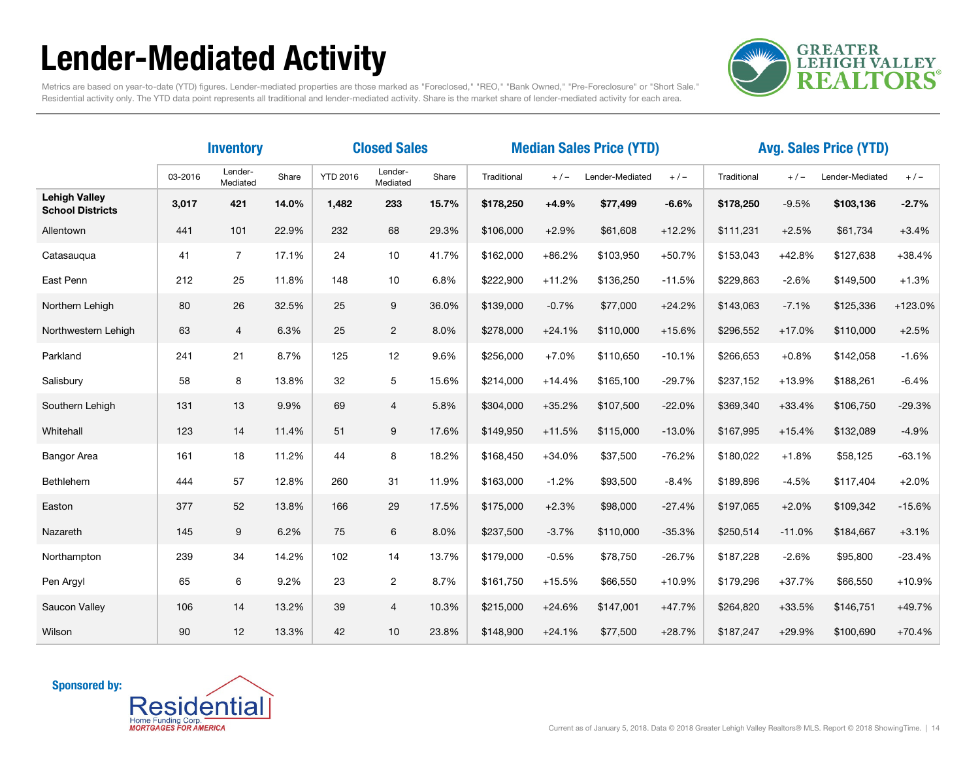# Lender-Mediated Activity



Metrics are based on year-to-date (YTD) figures. Lender-mediated properties are those marked as "Foreclosed," "REO," "Bank Owned," "Pre-Foreclosure" or "Short Sale." Residential activity only. The YTD data point represents all traditional and lender-mediated activity. Share is the market share of lender-mediated activity for each area.

|                                                 | <b>Inventory</b> |                     |       | <b>Closed Sales</b> | <b>Median Sales Price (YTD)</b> |       |             |          |                 | <b>Avg. Sales Price (YTD)</b> |             |          |                 |          |
|-------------------------------------------------|------------------|---------------------|-------|---------------------|---------------------------------|-------|-------------|----------|-----------------|-------------------------------|-------------|----------|-----------------|----------|
|                                                 | 03-2016          | Lender-<br>Mediated | Share | <b>YTD 2016</b>     | Lender-<br>Mediated             | Share | Traditional | $+/-$    | Lender-Mediated | $+/-$                         | Traditional | $+/-$    | Lender-Mediated | $+/-$    |
| <b>Lehigh Valley</b><br><b>School Districts</b> | 3,017            | 421                 | 14.0% | 1,482               | 233                             | 15.7% | \$178,250   | $+4.9%$  | \$77,499        | $-6.6%$                       | \$178,250   | $-9.5%$  | \$103,136       | $-2.7%$  |
| Allentown                                       | 441              | 101                 | 22.9% | 232                 | 68                              | 29.3% | \$106,000   | $+2.9%$  | \$61,608        | $+12.2%$                      | \$111,231   | $+2.5%$  | \$61,734        | $+3.4%$  |
| Catasauqua                                      | 41               | $\overline{7}$      | 17.1% | 24                  | 10                              | 41.7% | \$162,000   | $+86.2%$ | \$103,950       | $+50.7%$                      | \$153,043   | $+42.8%$ | \$127,638       | $+38.4%$ |
| East Penn                                       | 212              | 25                  | 11.8% | 148                 | 10                              | 6.8%  | \$222,900   | $+11.2%$ | \$136,250       | $-11.5%$                      | \$229,863   | $-2.6%$  | \$149,500       | $+1.3%$  |
| Northern Lehigh                                 | 80               | 26                  | 32.5% | 25                  | 9                               | 36.0% | \$139,000   | $-0.7%$  | \$77,000        | $+24.2%$                      | \$143,063   | $-7.1%$  | \$125,336       | +123.0%  |
| Northwestern Lehigh                             | 63               | $\overline{4}$      | 6.3%  | 25                  | $\overline{c}$                  | 8.0%  | \$278,000   | $+24.1%$ | \$110,000       | $+15.6%$                      | \$296,552   | $+17.0%$ | \$110,000       | $+2.5%$  |
| Parkland                                        | 241              | 21                  | 8.7%  | 125                 | 12                              | 9.6%  | \$256,000   | $+7.0%$  | \$110,650       | $-10.1%$                      | \$266,653   | $+0.8%$  | \$142,058       | $-1.6%$  |
| Salisbury                                       | 58               | 8                   | 13.8% | 32                  | 5                               | 15.6% | \$214,000   | $+14.4%$ | \$165,100       | $-29.7%$                      | \$237,152   | $+13.9%$ | \$188,261       | $-6.4%$  |
| Southern Lehigh                                 | 131              | 13                  | 9.9%  | 69                  | $\overline{4}$                  | 5.8%  | \$304,000   | $+35.2%$ | \$107,500       | $-22.0%$                      | \$369,340   | $+33.4%$ | \$106,750       | $-29.3%$ |
| Whitehall                                       | 123              | 14                  | 11.4% | 51                  | 9                               | 17.6% | \$149,950   | $+11.5%$ | \$115,000       | $-13.0%$                      | \$167,995   | $+15.4%$ | \$132,089       | $-4.9%$  |
| Bangor Area                                     | 161              | 18                  | 11.2% | 44                  | 8                               | 18.2% | \$168,450   | $+34.0%$ | \$37,500        | $-76.2%$                      | \$180,022   | $+1.8%$  | \$58,125        | $-63.1%$ |
| Bethlehem                                       | 444              | 57                  | 12.8% | 260                 | 31                              | 11.9% | \$163,000   | $-1.2%$  | \$93,500        | $-8.4%$                       | \$189,896   | $-4.5%$  | \$117,404       | $+2.0%$  |
| Easton                                          | 377              | 52                  | 13.8% | 166                 | 29                              | 17.5% | \$175,000   | $+2.3%$  | \$98,000        | $-27.4%$                      | \$197,065   | $+2.0%$  | \$109,342       | $-15.6%$ |
| Nazareth                                        | 145              | 9                   | 6.2%  | 75                  | 6                               | 8.0%  | \$237,500   | $-3.7%$  | \$110,000       | $-35.3%$                      | \$250,514   | $-11.0%$ | \$184,667       | $+3.1%$  |
| Northampton                                     | 239              | 34                  | 14.2% | 102                 | 14                              | 13.7% | \$179,000   | $-0.5%$  | \$78,750        | $-26.7%$                      | \$187,228   | $-2.6%$  | \$95,800        | $-23.4%$ |
| Pen Argyl                                       | 65               | 6                   | 9.2%  | 23                  | $\overline{c}$                  | 8.7%  | \$161,750   | $+15.5%$ | \$66,550        | $+10.9%$                      | \$179,296   | $+37.7%$ | \$66,550        | $+10.9%$ |
| Saucon Valley                                   | 106              | 14                  | 13.2% | 39                  | $\overline{4}$                  | 10.3% | \$215,000   | $+24.6%$ | \$147,001       | $+47.7%$                      | \$264,820   | $+33.5%$ | \$146,751       | $+49.7%$ |
| Wilson                                          | 90               | 12                  | 13.3% | 42                  | 10                              | 23.8% | \$148,900   | $+24.1%$ | \$77,500        | $+28.7%$                      | \$187,247   | +29.9%   | \$100,690       | $+70.4%$ |